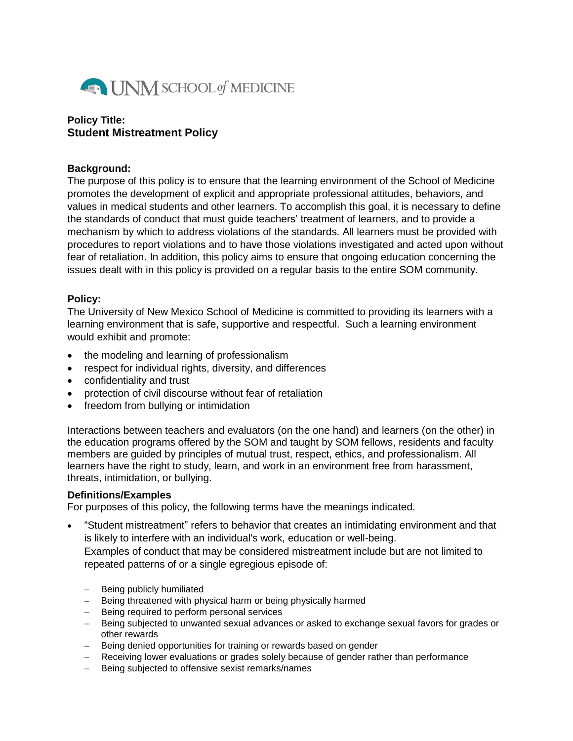

### **Policy Title: Student Mistreatment Policy**

#### **Background:**

The purpose of this policy is to ensure that the learning environment of the School of Medicine promotes the development of explicit and appropriate professional attitudes, behaviors, and values in medical students and other learners. To accomplish this goal, it is necessary to define the standards of conduct that must guide teachers' treatment of learners, and to provide a mechanism by which to address violations of the standards. All learners must be provided with procedures to report violations and to have those violations investigated and acted upon without fear of retaliation. In addition, this policy aims to ensure that ongoing education concerning the issues dealt with in this policy is provided on a regular basis to the entire SOM community.

#### **Policy:**

The University of New Mexico School of Medicine is committed to providing its learners with a learning environment that is safe, supportive and respectful. Such a learning environment would exhibit and promote:

- the modeling and learning of professionalism
- respect for individual rights, diversity, and differences
- confidentiality and trust
- protection of civil discourse without fear of retaliation
- freedom from bullying or intimidation

Interactions between teachers and evaluators (on the one hand) and learners (on the other) in the education programs offered by the SOM and taught by SOM fellows, residents and faculty members are guided by principles of mutual trust, respect, ethics, and professionalism. All learners have the right to study, learn, and work in an environment free from harassment, threats, intimidation, or bullying.

#### **Definitions/Examples**

For purposes of this policy, the following terms have the meanings indicated.

- "Student mistreatment" refers to behavior that creates an intimidating environment and that is likely to interfere with an individual's work, education or well-being. Examples of conduct that may be considered mistreatment include but are not limited to repeated patterns of or a single egregious episode of:
	- Being publicly humiliated
	- Being threatened with physical harm or being physically harmed
	- Being required to perform personal services
	- Being subjected to unwanted sexual advances or asked to exchange sexual favors for grades or other rewards
	- Being denied opportunities for training or rewards based on gender
	- Receiving lower evaluations or grades solely because of gender rather than performance
	- Being subjected to offensive sexist remarks/names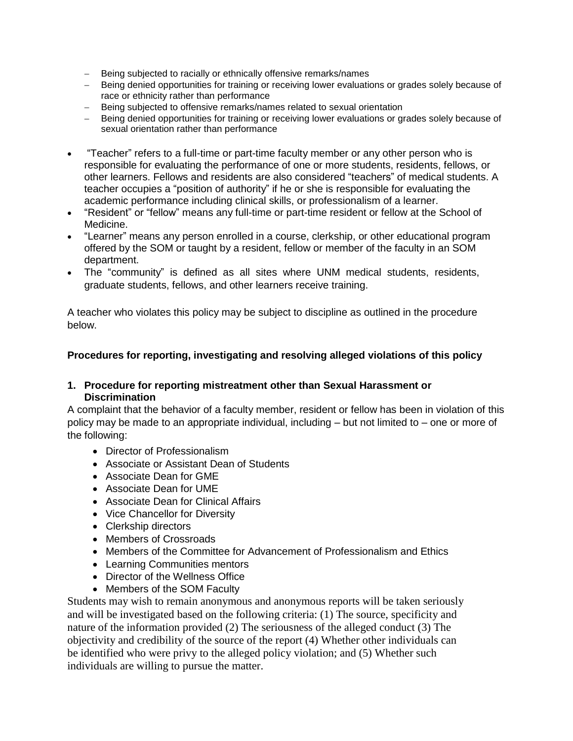- Being subjected to racially or ethnically offensive remarks/names
- Being denied opportunities for training or receiving lower evaluations or grades solely because of race or ethnicity rather than performance
- Being subjected to offensive remarks/names related to sexual orientation
- Being denied opportunities for training or receiving lower evaluations or grades solely because of sexual orientation rather than performance
- "Teacher" refers to a full-time or part-time faculty member or any other person who is responsible for evaluating the performance of one or more students, residents, fellows, or other learners. Fellows and residents are also considered "teachers" of medical students. A teacher occupies a "position of authority" if he or she is responsible for evaluating the academic performance including clinical skills, or professionalism of a learner.
- "Resident" or "fellow" means any full-time or part-time resident or fellow at the School of Medicine.
- "Learner" means any person enrolled in a course, clerkship, or other educational program offered by the SOM or taught by a resident, fellow or member of the faculty in an SOM department.
- The "community" is defined as all sites where UNM medical students, residents, graduate students, fellows, and other learners receive training.

A teacher who violates this policy may be subject to discipline as outlined in the procedure below.

### **Procedures for reporting, investigating and resolving alleged violations of this policy**

### **1. Procedure for reporting mistreatment other than Sexual Harassment or Discrimination**

A complaint that the behavior of a faculty member, resident or fellow has been in violation of this policy may be made to an appropriate individual, including – but not limited to – one or more of the following:

- Director of Professionalism
- Associate or Assistant Dean of Students
- Associate Dean for GME
- Associate Dean for UME
- Associate Dean for Clinical Affairs
- Vice Chancellor for Diversity
- Clerkship directors
- Members of Crossroads
- Members of the Committee for Advancement of Professionalism and Ethics
- Learning Communities mentors
- Director of the Wellness Office
- Members of the SOM Faculty

Students may wish to remain anonymous and anonymous reports will be taken seriously and will be investigated based on the following criteria: (1) The source, specificity and nature of the information provided (2) The seriousness of the alleged conduct (3) The objectivity and credibility of the source of the report (4) Whether other individuals can be identified who were privy to the alleged policy violation; and (5) Whether such individuals are willing to pursue the matter.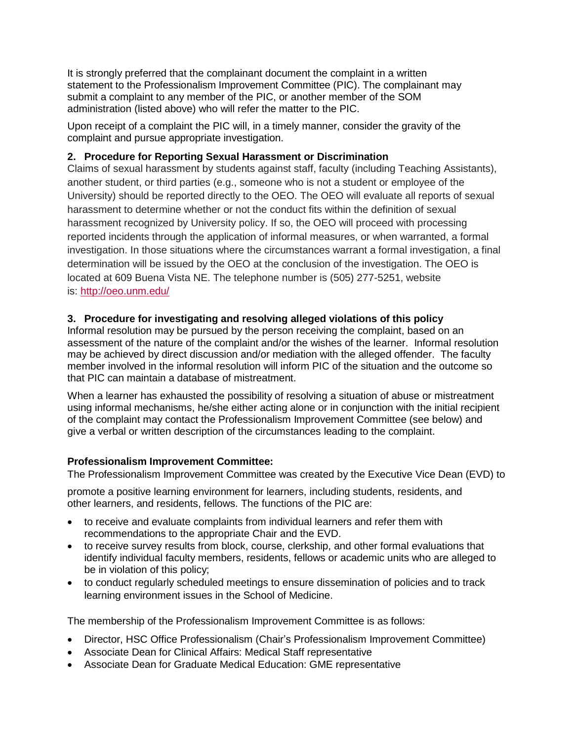It is strongly preferred that the complainant document the complaint in a written statement to the Professionalism Improvement Committee (PIC). The complainant may submit a complaint to any member of the PIC, or another member of the SOM administration (listed above) who will refer the matter to the PIC.

Upon receipt of a complaint the PIC will, in a timely manner, consider the gravity of the complaint and pursue appropriate investigation.

## **2. Procedure for Reporting Sexual Harassment or Discrimination**

Claims of sexual harassment by students against staff, faculty (including Teaching Assistants), another student, or third parties (e.g., someone who is not a student or employee of the University) should be reported directly to the OEO. The OEO will evaluate all reports of sexual harassment to determine whether or not the conduct fits within the definition of sexual harassment recognized by University policy. If so, the OEO will proceed with processing reported incidents through the application of informal measures, or when warranted, a formal investigation. In those situations where the circumstances warrant a formal investigation, a final determination will be issued by the OEO at the conclusion of the investigation. The OEO is located at 609 Buena Vista NE. The telephone number is (505) 277-5251, website is: <http://oeo.unm.edu/>

# **3. Procedure for investigating and resolving alleged violations of this policy**

Informal resolution may be pursued by the person receiving the complaint, based on an assessment of the nature of the complaint and/or the wishes of the learner. Informal resolution may be achieved by direct discussion and/or mediation with the alleged offender. The faculty member involved in the informal resolution will inform PIC of the situation and the outcome so that PIC can maintain a database of mistreatment.

When a learner has exhausted the possibility of resolving a situation of abuse or mistreatment using informal mechanisms, he/she either acting alone or in conjunction with the initial recipient of the complaint may contact the Professionalism Improvement Committee (see below) and give a verbal or written description of the circumstances leading to the complaint.

# **Professionalism Improvement Committee:**

The Professionalism Improvement Committee was created by the Executive Vice Dean (EVD) to

promote a positive learning environment for learners, including students, residents, and other learners, and residents, fellows. The functions of the PIC are:

- to receive and evaluate complaints from individual learners and refer them with recommendations to the appropriate Chair and the EVD.
- to receive survey results from block, course, clerkship, and other formal evaluations that identify individual faculty members, residents, fellows or academic units who are alleged to be in violation of this policy;
- to conduct regularly scheduled meetings to ensure dissemination of policies and to track learning environment issues in the School of Medicine.

The membership of the Professionalism Improvement Committee is as follows:

- Director, HSC Office Professionalism (Chair's Professionalism Improvement Committee)
- Associate Dean for Clinical Affairs: Medical Staff representative
- Associate Dean for Graduate Medical Education: GME representative